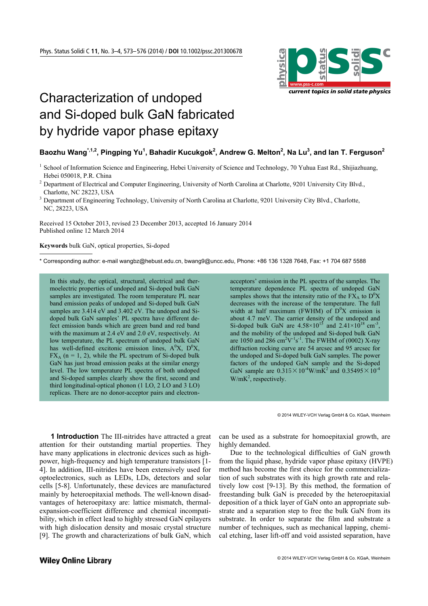

## Characterization of undoped and Si-doped bulk GaN fabricated by hydride vapor phase epitaxy

## $\beta$ Baozhu Wang $\hat{a}^{1,1,2}$ , Pingping Yu<sup>1</sup>, Bahadir Kucukgok<sup>2</sup>, Andrew G. Melton<sup>2</sup>, Na Lu<sup>3</sup>, and Ian T. Ferguson<sup>2</sup>

- <sup>1</sup> School of Information Science and Engineering, Hebei University of Science and Technology, 70 Yuhua East Rd., Shijiazhuang, Hebei 050018, P.R. China
- <sup>2</sup> Department of Electrical and Computer Engineering, University of North Carolina at Charlotte, 9201 University City Blvd., Charlotte, NC 28223, USA
- <sup>3</sup> Department of Engineering Technology, University of North Carolina at Charlotte, 9201 University City Blvd., Charlotte, NC, 28223, USA

Received 15 October 2013, revised 23 December 2013, accepted 16 January 2014 Published online 12 March 2014

**Keywords** bulk GaN, optical properties, Si-doped

-

\* Corresponding author: e-mail wangbz@hebust.edu.cn, bwang9@uncc.edu, Phone: +86 136 1328 7648, Fax: +1 704 687 5588

In this study, the optical, structural, electrical and thermoelectric properties of undoped and Si-doped bulk GaN samples are investigated. The room temperature PL near band emission peaks of undoped and Si-doped bulk GaN samples are  $3.414$  eV and  $3.402$  eV. The undoped and Sidoped bulk GaN samples' PL spectra have different defect emission bands which are green band and red band with the maximum at 2.4 eV and 2.0 eV, respectively. At low temperature, the PL spectrum of undoped bulk GaN has well-defined excitonic emission lines,  $A^0X$ ,  $D^0X$ ,  $FX_A$  (n = 1, 2), while the PL spectrum of Si-doped bulk GaN has just broad emission peaks at the similar energy level. The low temperature PL spectra of both undoped and Si-doped samples clearly show the first, second and third longitudinal-optical phonon (1 LO, 2 LO and 3 LO) replicas. There are no donor-acceptor pairs and electronacceptors' emission in the PL spectra of the samples. The temperature dependence PL spectra of undoped GaN samples shows that the intensity ratio of the  $F\hat{X}_A$  to  $D^0X$ decreases with the increase of the temperature. The full width at half maximum (FWHM) of  $D^{0}X$  emission is about 4.7 meV. The carrier density of the undoped and Si-doped bulk GaN are  $4.58 \times 10^{15}$  and  $2.41 \times 10^{18}$  cm<sup>-3</sup>, and the mobility of the undoped and Si-doped bulk GaN are 1050 and 286 cm<sup>2</sup>V<sup>-1</sup>s<sup>-1</sup>. The FWHM of (0002) X-ray diffraction rocking curve are 54 arcsec and 95 arcsec for the undoped and Si-doped bulk GaN samples. The power factors of the undoped GaN sample and the Si-doped GaN sample are  $0.315 \times 10^{-4}$ W/mK<sup>2</sup> and  $0.35495 \times 10^{-4}$  $W/mK^2$ , respectively.

© 2014 WILEY-VCH Verlag GmbH & Co. KGaA, Weinheim

**1 Introduction** The III-nitrides have attracted a great attention for their outstanding martial properties. They have many applications in electronic devices such as highpower, high-frequency and high temperature transistors [1- 4]. In addition, III-nitrides have been extensively used for optoelectronics, such as LEDs, LDs, detectors and solar cells [5-8]. Unfortunately, these devices are manufactured mainly by heteroepitaxial methods. The well-known disadvantages of heteroepitaxy are: lattice mismatch, thermalexpansion-coefficient difference and chemical incompatibility, which in effect lead to highly stressed GaN epilayers with high dislocation density and mosaic crystal structure [9]. The growth and characterizations of bulk GaN, which

can be used as a substrate for homoepitaxial growth, are highly demanded.

Due to the technological difficulties of GaN growth from the liquid phase, hydride vapor phase epitaxy (HVPE) method has become the first choice for the commercialization of such substrates with its high growth rate and relatively low cost [9-13]. By this method, the formation of freestanding bulk GaN is preceded by the heteroepitaxial deposition of a thick layer of GaN onto an appropriate substrate and a separation step to free the bulk GaN from its substrate. In order to separate the film and substrate a number of techniques, such as mechanical lapping, chemical etching, laser lift-off and void assisted separation, have

## **Wiley Online Library**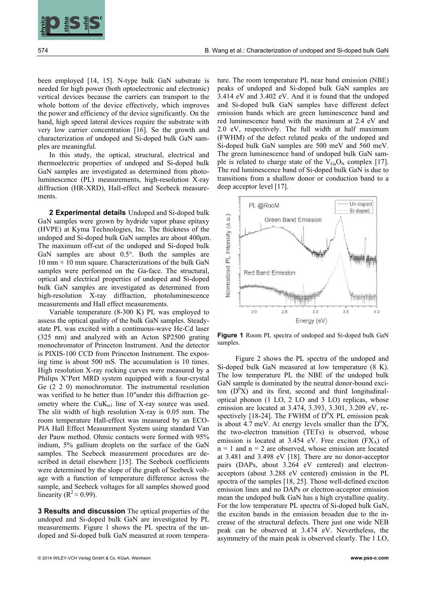

been employed [14, 15]. N-type bulk GaN substrate is needed for high power (both optoelectronic and electronic) vertical devices because the carriers can transport to the whole bottom of the device effectively, which improves the power and efficiency of the device significantly. On the hand, high speed lateral devices require the substrate with very low carrier concentration [16]. So the growth and characterization of undoped and Si-doped bulk GaN samples are meaningful.

In this study, the optical, structural, electrical and thermoelectric properties of undoped and Si-doped bulk GaN samples are investigated as determined from photoluminescence (PL) measurements, high-resolution X-ray diffraction (HR-XRD), Hall-effect and Seebeck measurements.

**2 Experimental details** Undoped and Si-doped bulk GaN samples were grown by hydride vapor phase epitaxy (HVPE) at Kyma Technologies, Inc. The thickness of the undoped and Si-doped bulk GaN samples are about 400μm. The maximum off-cut of the undoped and Si-doped bulk GaN samples are about 0.5°. Both the samples are  $10 \text{ mm} \times 10 \text{ mm}$  square. Characterizations of the bulk GaN samples were performed on the Ga-face. The structural, optical and electrical properties of undoped and Si-doped bulk GaN samples are investigated as determined from high-resolution X-ray diffraction, photoluminescence measurements and Hall effect measurements.

**EXAMPLE THE CONFIDENTIES CONTRACT CONFIDENTIES CONTRACT CONFIDENTIES CONTRACT CONTRACT CONTRACT CONTRACT CONTRACT CONTRACT CONTRACT CONTRACT CONTRACT CONTRACT CONTRACT CONTRACT CONTRACT CONTRACT CONTRACT CONTRACT CONTRAC** Variable temperature (8-300 K) PL was employed to assess the optical quality of the bulk GaN samples. Steadystate PL was excited with a continuous-wave He-Cd laser (325 nm) and analyzed with an Acton SP2500 grating monochromator of Princeton Instrument. And the detector is PIXIS-100 CCD from Princeton Instrument. The exposing time is about 500 mS. The accumulation is 10 times. High resolution X-ray rocking curves were measured by a Philips X'Pert MRD system equipped with a four-crystal Ge (2 2 0) monochromator. The instrumental resolution was verified to be better than 10" under this diffraction geometry where the  $CuK_{\alpha1}$  line of X-ray source was used. The slit width of high resolution X-ray is 0.05 mm. The room temperature Hall-effect was measured by an ECO-PIA Hall Effect Measurement System using standard Van der Pauw method. Ohmic contacts were formed with 95% indium, 5% gallium droplets on the surface of the GaN samples. The Seebeck measurement procedures are described in detail elsewhere [15]. The Seebeck coefficients were determined by the slope of the graph of Seebeck voltage with a function of temperature difference across the sample, and Seebeck voltages for all samples showed good linearity ( $R^2 \approx 0.99$ ).

**3 Results and discussion** The optical properties of the undoped and Si-doped bulk GaN are investigated by PL measurements. Figure 1 shows the PL spectra of the undoped and Si-doped bulk GaN measured at room tempera-

ture. The room temperature PL near band emission (NBE) peaks of undoped and Si-doped bulk GaN samples are 3.414 eV and 3.402 eV. And it is found that the undoped and Si-doped bulk GaN samples have different defect emission bands which are green luminescence band and red luminescence band with the maximum at 2.4 eV and 2.0 eV, respectively. The full width at half maximum (FWHM) of the defect related peaks of the undoped and Si-doped bulk GaN samples are 500 meV and 560 meV. The green luminescence band of undoped bulk GaN sample is related to charge state of the  $V_{Ga}O_N$  complex [17]. The red luminescence band of Si-doped bulk GaN is due to transitions from a shallow donor or conduction band to a deep acceptor level [17].



**Figure 1** Room PL spectra of undoped and Si-doped bulk GaN samples.

Figure 2 shows the PL spectra of the undoped and Si-doped bulk GaN measured at low temperature (8 K). The low temperature PL the NBE of the undoped bulk GaN sample is dominated by the neutral donor-bound exciton  $(D^{0}X)$  and its first, second and third longitudinaloptical phonon (1 LO, 2 LO and 3 LO) replicas, whose emission are located at 3.474, 3.393, 3.301, 3.209 eV, respectively [18-24]. The FWHM of  $D^{0}X$  PL emission peak is about 4.7 meV. At energy levels smaller than the  $D^{0}X$ , the two-electron transition (TETs) is observed, whose emission is located at 3.454 eV. Free exciton  $(FX_A)$  of  $n = 1$  and  $n = 2$  are observed, whose emission are located at 3.481 and 3.498 eV [18]. There are no donor-acceptor pairs (DAPs, about 3.264 eV centered) and electronacceptors (about 3.288 eV centered) emission in the PL spectra of the samples [18, 25]. Those well-defined exciton emission lines and no DAPs or electron-acceptor emission mean the undoped bulk GaN has a high crystalline quality. For the low temperature PL spectra of Si-doped bulk GaN, the exciton bands in the emission broaden due to the increase of the structural defects. There just one wide NEB peak can be observed at 3.474 eV. Nevertheless, the asymmetry of the main peak is observed clearly. The 1 LO,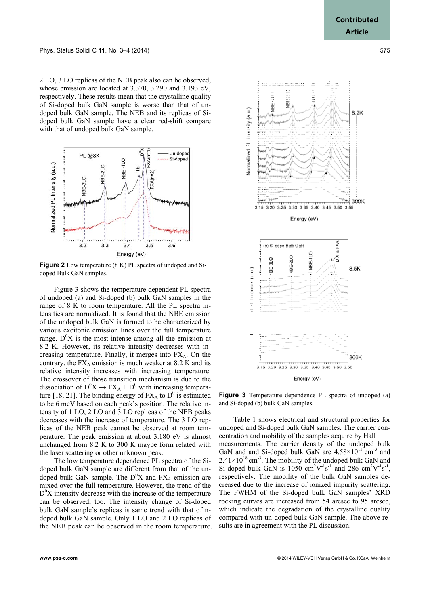2 LO, 3 LO replicas of the NEB peak also can be observed, whose emission are located at 3.370, 3.290 and 3.193 eV, respectively. These results mean that the crystalline quality of Si-doped bulk GaN sample is worse than that of undoped bulk GaN sample. The NEB and its replicas of Sidoped bulk GaN sample have a clear red-shift compare with that of undoped bulk GaN sample.



**Figure 2** Low temperature (8 K) PL spectra of undoped and Sidoped Bulk GaN samples.

Figure 3 shows the temperature dependent PL spectra of undoped (a) and Si-doped (b) bulk GaN samples in the range of 8 K to room temperature. All the PL spectra intensities are normalized. It is found that the NBE emission of the undoped bulk GaN is formed to be characterized by various excitonic emission lines over the full temperature range.  $D^{0}X$  is the most intense among all the emission at 8.2 K. However, its relative intensity decreases with increasing temperature. Finally, it merges into  $FX_A$ . On the contrary, the  $FX_A$  emission is much weaker at 8.2 K and its relative intensity increases with increasing temperature. The crossover of those transition mechanism is due to the dissociation of  $D^0X \to FX_A + D^0$  with increasing temperature [18, 21]. The binding energy of  $FX_A$  to  $D^0$  is estimated to be 6 meV based on each peak's position. The relative intensity of 1 LO, 2 LO and 3 LO replicas of the NEB peaks decreases with the increase of temperature. The 3 LO replicas of the NEB peak cannot be observed at room temperature. The peak emission at about 3.180 eV is almost unchanged from 8.2 K to 300 K maybe form related with the laser scattering or other unknown peak.

The low temperature dependence PL spectra of the Sidoped bulk GaN sample are different from that of the undoped bulk GaN sample. The  $D^{0}X$  and  $FX_A$  emission are mixed over the full temperature. However, the trend of the  $D^{0}X$  intensity decrease with the increase of the temperature can be observed, too. The intensity change of Si-doped bulk GaN sample's replicas is same trend with that of ndoped bulk GaN sample. Only 1 LO and 2 LO replicas of the NEB peak can be observed in the room temperature.



**Figure 3** Temperature dependence PL spectra of undoped (a) and Si-doped (b) bulk GaN samples.

Table 1 shows electrical and structural properties for undoped and Si-doped bulk GaN samples. The carrier concentration and mobility of the samples acquire by Hall measurements. The carrier density of the undoped bulk GaN and and Si-doped bulk GaN are  $4.58 \times 10^{15}$  cm<sup>-3</sup> and  $2.41\times10^{18}$  cm<sup>-3</sup>. The mobility of the undoped bulk GaN and Si-doped bulk GaN is  $1050 \text{ cm}^2\text{V}^{-1}\text{s}^{-1}$  and 286 cm<sup>2</sup>V<sup>-1</sup>s<sup>-1</sup>, respectively. The mobility of the bulk GaN samples decreased due to the increase of ionized impurity scattering. The FWHM of the Si-doped bulk GaN samples' XRD rocking curves are increased from 54 arcsec to 95 arcsec, which indicate the degradation of the crystalline quality compared with un-doped bulk GaN sample. The above results are in agreement with the PL discussion.